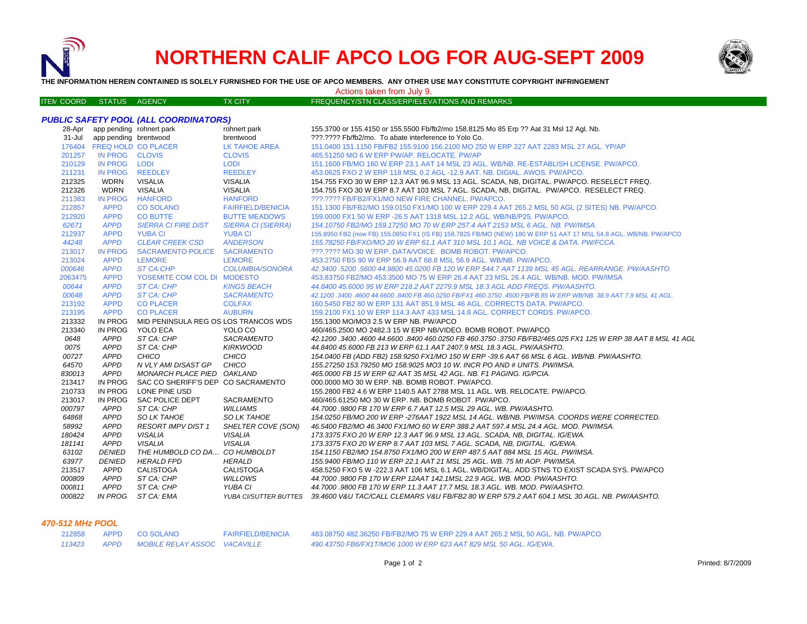

ITEM

# **NORTHERN CALIF APCO LOG FOR AUG-SEPT 2009**



**THE INFORMATION HEREIN CONTAINED IS SOLELY FURNISHED FOR THE USE OF APCO MEMBERS. ANY OTHER USE MAY CONSTITUTE COPYRIGHT INFRINGEMENT**

Actions taken from July 9.

TX CITY FREQUENCY/STN CLASS/ERP/ELEVATIONS AND REMARKS

#### *PUBLIC SAFETY POOL (ALL COORDINATORS)* 28-Apr app pending rohnert park rohnert park 155.3700 or 155.4150 or 155.5500 Fb/fb2/mo 158.8125 Mo 85 Erp ?? Aat 31 Msl 12 Agl. Nb. 31-Jul app pending brentwood brentwood ???.???? Fb/fb2/mo. To abate interference to Yolo Co. FREQ HOLD CO PLACER LK TAHOE AREA 151.0400 151.1150 FB/FB2 155.9100 156.2100 MO 250 W ERP 227 AAT 2283 MSL 27 AGL. YP/AP IN PROG CLOVIS CLOVIS 465.51250 MO 6 W ERP PW/AP. RELOCATE. PW/AP IN PROG LODI LODI 151.1600 FB/MO 160 W ERP 23.1 AAT 14 MSL 23 AGL. WB/NB. RE-ESTABLISH LICENSE. PW/APCO. IN PROG REEDLEY REEDLEY 453.0625 FXO 2 W ERP 118 MSL 0.2 AGL -12.9 AAT. NB. DIGIAL. AWOS. PW/APCO. WDRN VISALIA VISALIA 154.755 FXO 30 W ERP 12.3 AAT 96.9 MSL 13 AGL. SCADA, NB, DIGITAL. PW/APCO. RESELECT FREQ. WDRN VISALIA VISALIA 154.755 FXO 30 W ERP 8.7 AAT 103 MSL 7 AGL. SCADA, NB, DIGITAL. PW/APCO. RESELECT FREQ. IN PROG HANFORD HANFORD ???.???? FB/FB2/FX1/MO NEW FIRE CHANNEL. PW/APCO.212857 APPD CO SOLANO FAIRFIELD/BENICIA 151.1300 FB/FB2/MO 159.0150 FX1/MO 100 W ERP 229.4 AAT 265.2 MSL 50 AGL (2 SITES) NB. PW/APCO.<br>212920 APPD CO BUTTE BUTTE MEADOWS 159.0000 FX1 50 W ERP -26. APPD CO BUTTE BUTTE MEADOWS 159.0000 FX1 50 W ERP -26.5 AAT 1318 MSL 12.2 AGL. WB/NB/P25. PW/APCO. *APPD SIERRA CI FIRE DIST SIERRA CI (SIERRA) 154.10750 FB2/MO 159.17250 MO 70 W ERP 257.4 AAT 2153 MSL 6 AGL. NB. PW/IMSA.* APPD YUBA CI YUBA CI 155.8950 FB2 (now FB) 155.0850 FX1 (IS FB) 158.7825 FB/MO (NEW) 180 W ERP 51 AAT 17 MSL 54.8 AGL. WB/NB. PW/APCO  *APPD CLEAR CREEK CSD ANDERSON 155.78250 FB/FXO/MO 20 W ERP 61.1 AAT 310 MSL 10.1 AGL. NB VOICE & DATA. PW/FCCA.* IN PROG SACRAMENTO POLICE SACRAMENTO ???.???? MO 30 W ERP. DATA/VOICE. BOMB ROBOT. PW/APCO. APPD LEMORE LEMORE 453.2750 FBS 90 W ERP 56.9 AAT 68.8 MSL 56.9 AGL. WB/NB. PW/APCO. *APPD ST CA:CHP COLUMBIA/SONORA 42.3400 .5200 .5600 44.9800 45.0200 FB 120 W ERP 544.7 AAT 1139 MSL 45 AGL. REARRANGE. PW/AASHTO.* APPD YOSEMITE COM COL DI MODESTO 453.83750 FB2/MO 453.3500 MO 75 W ERP 26.4 AAT 23 MSL 26.4 AGL. WB/NB. MOD. PW/IMSA *APPD ST CA: CHP KINGS BEACH 44.8400 45.6000 95 W ERP 218.2 AAT 2279.9 MSL 18.3 AGL ADD FREQS. PW/AASHTO. APPD ST CA: CHP SACRAMENTO 42.1200 .3400 .4600 44.6600 .8400 FB 460.0250 FB/FX1 460.3750 .4500 FB/FB 85 W ERP WB/NB. 38.9 AAT 7.9 MSL 41 AGL.* APPD CO PLACER COLFAX 160.5450 FB2 80 W ERP 131 AAT 851.9 MSL 46 AGL. CORRECTS DATA. PW/APCO.213195 APPD CO PLACER AUBURN 159.2100 FX1 10 W ERP 114.3 AAT 433 MSL 14.8 AGL. CORRECT CORDS. PW/APCO. IN PROG MID PENINSULA REG OS LOS TRANCOS WDS 155.1300 MO/MO3 2.5 W ERP NB. PW/APCO IN PROG YOLO ECA YOLO CO 460/465.2500 MO 2482.3 15 W ERP NB/VIDEO. BOMB ROBOT. PW/APCO *APPD ST CA: CHP SACRAMENTO 42.1200 .3400 .4600 44.6600 .8400 460.0250 FB 460.3750 .3750 FB/FB2/465.025 FX1 125 W ERP 38 AAT 8 MSL 41 AGL APPD ST CA: CHP KIRKWOOD 44.8400 45.6000 FB 213 W ERP 61.1 AAT 2407.9 MSL 18.3 AGL. PW/AASHTO. APPD CHICO CHICO 154.0400 FB (ADD FB2) 158.9250 FX1/MO 150 W ERP -39.6 AAT 66 MSL 6 AGL. WB/NB. PW/AASHTO. APPD N VLY AMI DISAST GP CHICO 155.27250 153.79250 MO 158.9025 MO3 10 W. INCR PO AND # UNITS. PW/IMSA. APPD MONARCH PLACE PIED OAKLAND 465.0000 FB 15 W ERP 62 AAT 35 MSL 42 AGL. NB. F1 PAGING. IG/PCIA.* IN PROG SAC CO SHERIFF'S DEP CO SACRAMENTO 000.0000 MO 30 W ERP. NB. BOMB ROBOT. PW/APCO. IN PROG LONE PINE USD 155.2800 FB2 4.6 W ERP 1140.5 AAT 2788 MSL 11 AGL. WB. RELOCATE. PW/APCO.IN PROG SAC POLICE DEPT SACRAMENTO 460/465.61250 MO 30 W ERP. NB. BOMB ROBOT. PW/APCO.

 *APPD SO LK TAHOE SO LK TAHOE 154.0250 FB/MO 200 W ERP -276AAT 1922 MSL 14 AGL. WB/NB. PW/IMSA. COORDS WERE CORRECTED.* 

APPD CALISTOGA CALISTOGA 458.5250 FXO 5 W -222.3 AAT 106 MSL 6.1 AGL. WB/DIGITAL. ADD STNS TO EXIST SCADA SYS. PW/APCO

 *APPD RESORT IMPV DIST 1 SHELTER COVE (SON) 46.5400 FB2/MO 46.3400 FX1/MO 60 W ERP 388.2 AAT 597.4 MSL 24.4 AGL. MOD. PW/IMSA. APPD VISALIA VISALIA 173.3375 FXO 20 W ERP 12.3 AAT 96.9 MSL 13 AGL. SCADA, NB, DIGITAL. IG/EWA. APPD VISALIA VISALIA 173.3375 FXO 20 W ERP 8.7 AAT 103 MSL 7 AGL. SCADA, NB, DIGITAL. IG/EWA. DENIED THE HUMBOLD CO DA… CO HUMBOLDT 154.1150 FB2/MO 154.8750 FX1/MO 200 W ERP 487.5 AAT 884 MSL 15 AGL. PW/IMSA. DENIED HERALD FPD HERALD 155.9400 FB/MO 110 W ERP 22.1 AAT 21 MSL 25 AGL. WB. 75 MI AOP. PW/IMSA.*

#### *470-512 MHz POOL*

 *IN PROG ST CA: EMA*

| 212858 | APPD CO SOLANO                    | <b>FAIRFIELD/BENICIA</b> | 483.08750 482.36250 FB/FB2/MO 75 W ERP 229.4 AAT 265.2 MSL 50 AGL. NB. PW/APCO. |
|--------|-----------------------------------|--------------------------|---------------------------------------------------------------------------------|
| 113423 | APPD MOBILE RELAY ASSOC VACAVILLE |                          | 490.43750 FB6/FX1T/MO6 1000 W ERP 623 AAT 829 MSL 50 AGL. IG/EWA.               |

 *APPD ST CA: CHP WILLOWS 44.7000 .9800 FB 170 W ERP 12AAT 142.1MSL 22.9 AGL. WB. MOD. PW/AASHTO. APPD ST CA: CHP YUBA CI 44.7000 .9800 FB 170 W ERP 11.3 AAT 17.7 MSL 18.3 AGL. WB. MOD. PW/AASHTO.*

 *APPD ST CA: CHP WILLIAMS 44.7000 .9800 FB 170 W ERP 6.7 AAT 12.5 MSL 29 AGL. WB. PW/AASHTO.*

*YUBA CI/SUTTER BUTTES 39.4600 V&U TAC/CALL CLEMARS V&U FB/FB2 80 W ERP 579.2 AAT 604.1 MSL 30 AGL. NB. PW/AASHTO.*